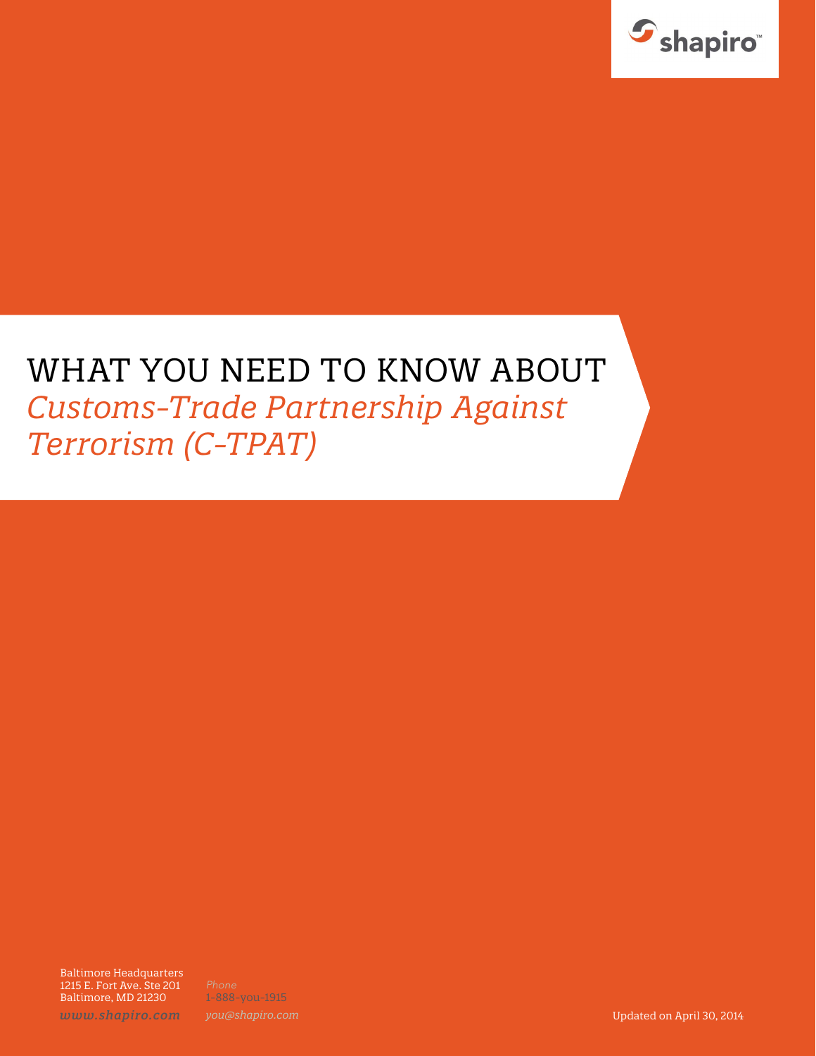

# WHAT YOU NEED TO KNOW ABOUT *Customs-Trade Partnership Against Terrorism (C-TPAT)*

Baltimore Headquarters 1215 E. Fort Ave. Ste 201 Baltimore, MD 21230

1-888-you-1915

*www.shapiro.com you@shapiro.com* Updated on April 30, 2014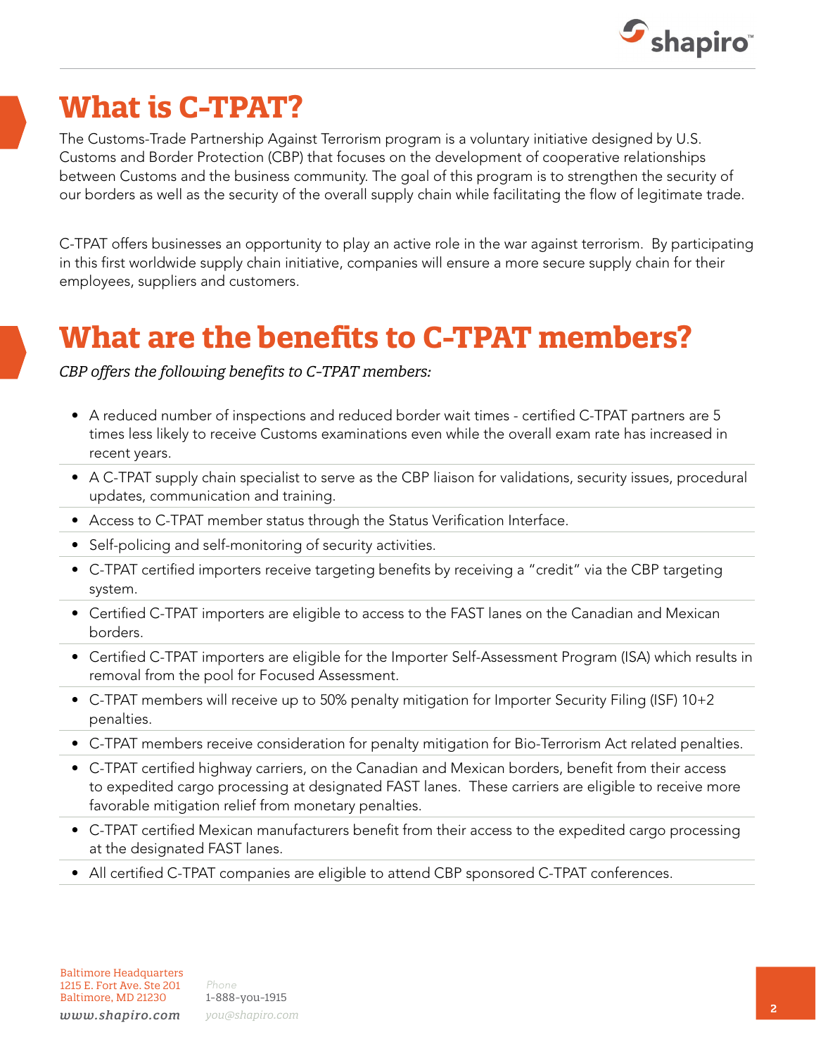

## **What is C-TPAT?**

The Customs-Trade Partnership Against Terrorism program is a voluntary initiative designed by U.S. Customs and Border Protection (CBP) that focuses on the development of cooperative relationships between Customs and the business community. The goal of this program is to strengthen the security of our borders as well as the security of the overall supply chain while facilitating the flow of legitimate trade.

C-TPAT offers businesses an opportunity to play an active role in the war against terrorism. By participating in this first worldwide supply chain initiative, companies will ensure a more secure supply chain for their employees, suppliers and customers.

### **What are the benefits to C-TPAT members?**

*CBP offers the following benefits to C-TPAT members:* 

- A reduced number of inspections and reduced border wait times certified C-TPAT partners are 5 times less likely to receive Customs examinations even while the overall exam rate has increased in recent years.
- A C-TPAT supply chain specialist to serve as the CBP liaison for validations, security issues, procedural updates, communication and training.
- Access to C-TPAT member status through the Status Verification Interface.
- Self-policing and self-monitoring of security activities.
- C-TPAT certified importers receive targeting benefits by receiving a "credit" via the CBP targeting system.
- Certified C-TPAT importers are eligible to access to the FAST lanes on the Canadian and Mexican borders.
- Certified C-TPAT importers are eligible for the Importer Self-Assessment Program (ISA) which results in removal from the pool for Focused Assessment.
- C-TPAT members will receive up to 50% penalty mitigation for Importer Security Filing (ISF) 10+2 penalties.
- C-TPAT members receive consideration for penalty mitigation for Bio-Terrorism Act related penalties.
- C-TPAT certified highway carriers, on the Canadian and Mexican borders, benefit from their access to expedited cargo processing at designated FAST lanes. These carriers are eligible to receive more favorable mitigation relief from monetary penalties.
- C-TPAT certified Mexican manufacturers benefit from their access to the expedited cargo processing at the designated FAST lanes.
- All certified C-TPAT companies are eligible to attend CBP sponsored C-TPAT conferences.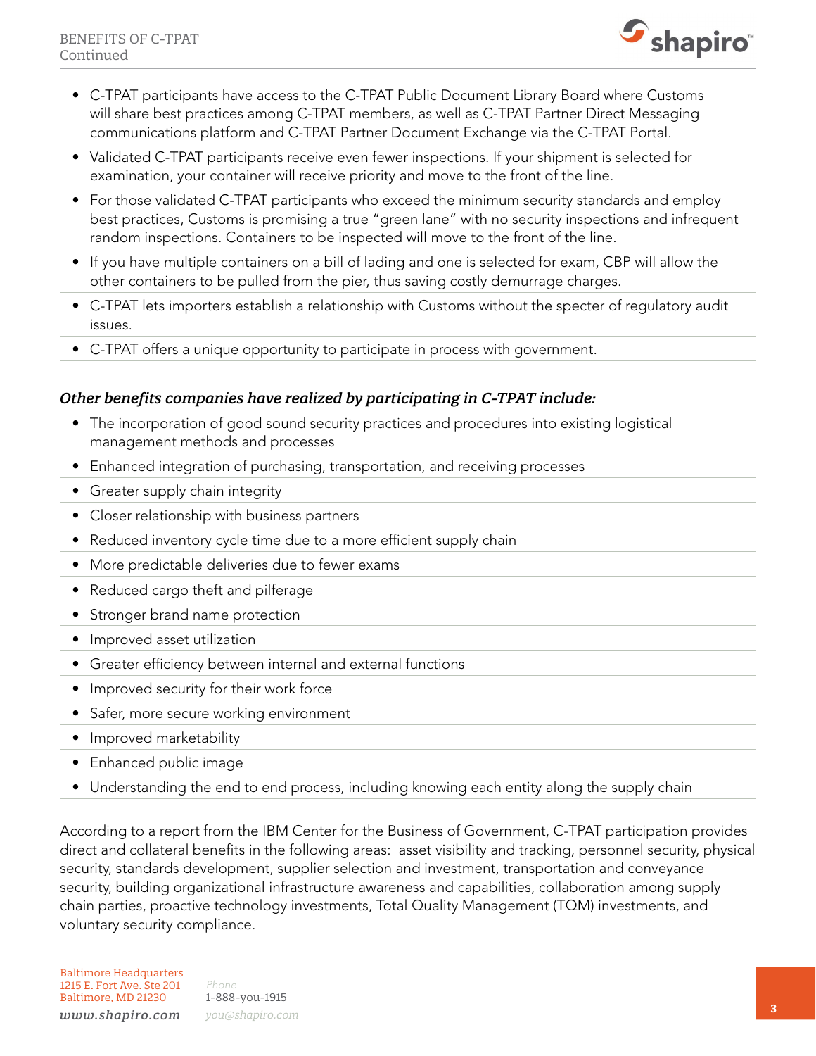

- C-TPAT participants have access to the C-TPAT Public Document Library Board where Customs will share best practices among C-TPAT members, as well as C-TPAT Partner Direct Messaging communications platform and C-TPAT Partner Document Exchange via the C-TPAT Portal.
- Validated C-TPAT participants receive even fewer inspections. If your shipment is selected for examination, your container will receive priority and move to the front of the line.
- For those validated C-TPAT participants who exceed the minimum security standards and employ best practices, Customs is promising a true "green lane" with no security inspections and infrequent random inspections. Containers to be inspected will move to the front of the line.
- If you have multiple containers on a bill of lading and one is selected for exam, CBP will allow the other containers to be pulled from the pier, thus saving costly demurrage charges.
- C-TPAT lets importers establish a relationship with Customs without the specter of regulatory audit issues.
- C-TPAT offers a unique opportunity to participate in process with government.

### *Other benefits companies have realized by participating in C-TPAT include:*

- The incorporation of good sound security practices and procedures into existing logistical management methods and processes
- Enhanced integration of purchasing, transportation, and receiving processes
- Greater supply chain integrity
- Closer relationship with business partners
- Reduced inventory cycle time due to a more efficient supply chain
- More predictable deliveries due to fewer exams
- Reduced cargo theft and pilferage
- Stronger brand name protection
- Improved asset utilization
- Greater efficiency between internal and external functions
- Improved security for their work force
- Safer, more secure working environment
- Improved marketability
- Enhanced public image
- Understanding the end to end process, including knowing each entity along the supply chain

According to a report from the IBM Center for the Business of Government, C-TPAT participation provides direct and collateral benefits in the following areas: asset visibility and tracking, personnel security, physical security, standards development, supplier selection and investment, transportation and conveyance security, building organizational infrastructure awareness and capabilities, collaboration among supply chain parties, proactive technology investments, Total Quality Management (TQM) investments, and voluntary security compliance.

*Phone* 1-888-you-1915